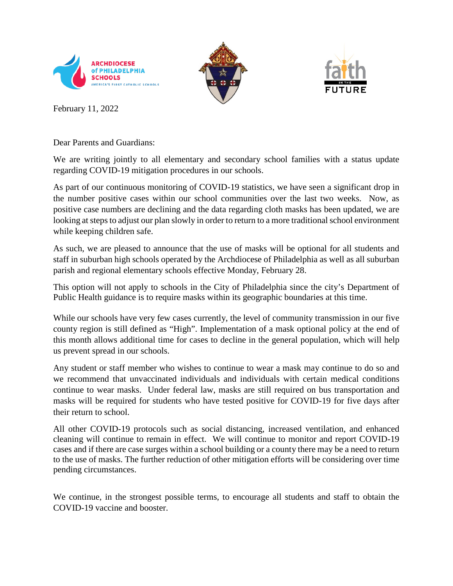





February 11, 2022

Dear Parents and Guardians:

We are writing jointly to all elementary and secondary school families with a status update regarding COVID-19 mitigation procedures in our schools.

As part of our continuous monitoring of COVID-19 statistics, we have seen a significant drop in the number positive cases within our school communities over the last two weeks. Now, as positive case numbers are declining and the data regarding cloth masks has been updated, we are looking at steps to adjust our plan slowly in order to return to a more traditional school environment while keeping children safe.

As such, we are pleased to announce that the use of masks will be optional for all students and staff in suburban high schools operated by the Archdiocese of Philadelphia as well as all suburban parish and regional elementary schools effective Monday, February 28.

This option will not apply to schools in the City of Philadelphia since the city's Department of Public Health guidance is to require masks within its geographic boundaries at this time.

While our schools have very few cases currently, the level of community transmission in our five county region is still defined as "High". Implementation of a mask optional policy at the end of this month allows additional time for cases to decline in the general population, which will help us prevent spread in our schools.

Any student or staff member who wishes to continue to wear a mask may continue to do so and we recommend that unvaccinated individuals and individuals with certain medical conditions continue to wear masks. Under federal law, masks are still required on bus transportation and masks will be required for students who have tested positive for COVID-19 for five days after their return to school.

All other COVID-19 protocols such as social distancing, increased ventilation, and enhanced cleaning will continue to remain in effect. We will continue to monitor and report COVID-19 cases and if there are case surges within a school building or a county there may be a need to return to the use of masks. The further reduction of other mitigation efforts will be considering over time pending circumstances.

We continue, in the strongest possible terms, to encourage all students and staff to obtain the COVID-19 vaccine and booster.